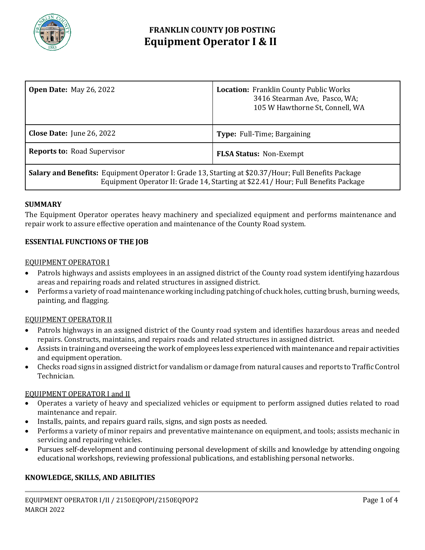

# **FRANKLIN COUNTY JOB POSTING Equipment Operator I & II**

| <b>Open Date: May 26, 2022</b>                                                                                                                                                                  | <b>Location:</b> Franklin County Public Works<br>3416 Stearman Ave, Pasco, WA;<br>105 W Hawthorne St, Connell, WA |
|-------------------------------------------------------------------------------------------------------------------------------------------------------------------------------------------------|-------------------------------------------------------------------------------------------------------------------|
| <b>Close Date:</b> June 26, 2022                                                                                                                                                                | <b>Type:</b> Full-Time; Bargaining                                                                                |
| <b>Reports to: Road Supervisor</b>                                                                                                                                                              | <b>FLSA Status: Non-Exempt</b>                                                                                    |
| <b>Salary and Benefits:</b> Equipment Operator I: Grade 13, Starting at \$20.37/Hour; Full Benefits Package<br>Equipment Operator II: Grade 14, Starting at \$22.41/Hour; Full Benefits Package |                                                                                                                   |

### **SUMMARY**

The Equipment Operator operates heavy machinery and specialized equipment and performs maintenance and repair work to assure effective operation and maintenance of the County Road system.

### **ESSENTIAL FUNCTIONS OF THE JOB**

### EQUIPMENT OPERATOR I

- Patrols highways and assists employees in an assigned district of the County road system identifying hazardous areas and repairing roads and related structures in assigned district.
- Performs a variety of road maintenance working including patching of chuck holes, cutting brush, burning weeds, painting, and flagging.

### EQUIPMENT OPERATOR II

- Patrols highways in an assigned district of the County road system and identifies hazardous areas and needed repairs. Constructs, maintains, and repairs roads and related structures in assigned district.
- Assists in training and overseeing the work of employees less experienced with maintenance and repair activities and equipment operation.
- Checks road signs in assigned district for vandalism or damage from natural causes and reports to Traffic Control Technician.

### EQUIPMENT OPERATOR I and II

- Operates a variety of heavy and specialized vehicles or equipment to perform assigned duties related to road maintenance and repair.
- Installs, paints, and repairs guard rails, signs, and sign posts as needed.
- Performs a variety of minor repairs and preventative maintenance on equipment, and tools; assists mechanic in servicing and repairing vehicles.
- Pursues self-development and continuing personal development of skills and knowledge by attending ongoing educational workshops, reviewing professional publications, and establishing personal networks.

### **KNOWLEDGE, SKILLS, AND ABILITIES**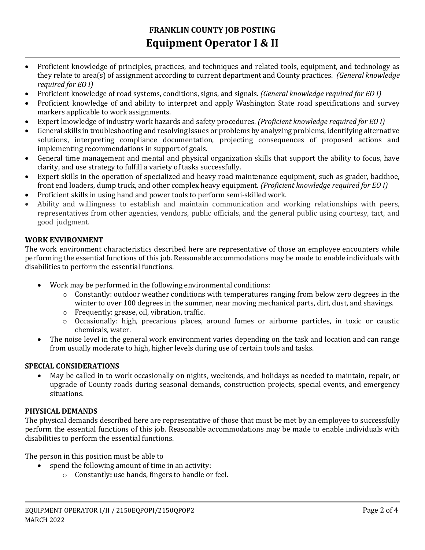# **FRANKLIN COUNTY JOB POSTING Equipment Operator I & II**

- Proficient knowledge of principles, practices, and techniques and related tools, equipment, and technology as they relate to area(s) of assignment according to current department and County practices. *(General knowledge required for EO I)*
- Proficient knowledge of road systems, conditions, signs, and signals. *(General knowledge required for EO I)*
- Proficient knowledge of and ability to interpret and apply Washington State road specifications and survey markers applicable to work assignments.
- Expert knowledge of industry work hazards and safety procedures. *(Proficient knowledge required for EO I)*
- General skills in troubleshooting and resolving issues or problems by analyzing problems, identifying alternative solutions, interpreting compliance documentation, projecting consequences of proposed actions and implementing recommendations in support of goals.
- General time management and mental and physical organization skills that support the ability to focus, have clarity, and use strategy to fulfill a variety of tasks successfully.
- Expert skills in the operation of specialized and heavy road maintenance equipment, such as grader, backhoe, front end loaders, dump truck, and other complex heavy equipment. *(Proficient knowledge required for EO I)*
- Proficient skills in using hand and power tools to perform semi-skilled work.
- Ability and willingness to establish and maintain communication and working relationships with peers, representatives from other agencies, vendors, public officials, and the general public using courtesy, tact, and good judgment.

# **WORK ENVIRONMENT**

The work environment characteristics described here are representative of those an employee encounters while performing the essential functions of this job. Reasonable accommodations may be made to enable individuals with disabilities to perform the essential functions.

- Work may be performed in the following environmental conditions:
	- o Constantly: outdoor weather conditions with temperatures ranging from below zero degrees in the winter to over 100 degrees in the summer, near moving mechanical parts, dirt, dust, and shavings.
	- o Frequently: grease, oil, vibration, traffic.
	- o Occasionally: high, precarious places, around fumes or airborne particles, in toxic or caustic chemicals, water.
- The noise level in the general work environment varies depending on the task and location and can range from usually moderate to high, higher levels during use of certain tools and tasks.

## **SPECIAL CONSIDERATIONS**

 May be called in to work occasionally on nights, weekends, and holidays as needed to maintain, repair, or upgrade of County roads during seasonal demands, construction projects, special events, and emergency situations.

## **PHYSICAL DEMANDS**

The physical demands described here are representative of those that must be met by an employee to successfully perform the essential functions of this job. Reasonable accommodations may be made to enable individuals with disabilities to perform the essential functions.

The person in this position must be able to

- spend the following amount of time in an activity:
	- o Constantly**:** use hands, fingers to handle or feel.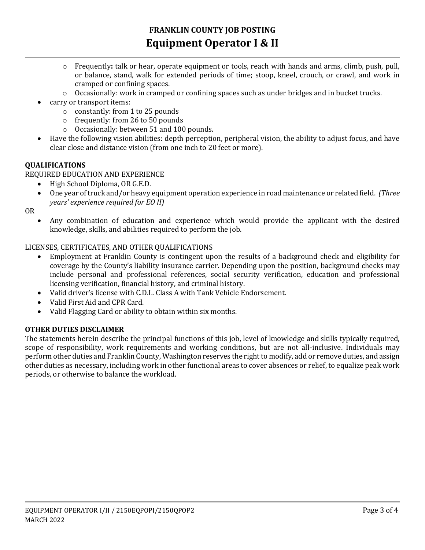- o Frequently**:** talk or hear, operate equipment or tools, reach with hands and arms, climb, push, pull, or balance, stand, walk for extended periods of time; stoop, kneel, crouch, or crawl, and work in cramped or confining spaces.
- $\circ$  Occasionally: work in cramped or confining spaces such as under bridges and in bucket trucks.
- carry or transport items:
	- o constantly: from 1 to 25 pounds
	- o frequently: from 26 to 50 pounds
	- o Occasionally: between 51 and 100 pounds.
- Have the following vision abilities: depth perception, peripheral vision, the ability to adjust focus, and have clear close and distance vision (from one inch to 20 feet or more).

## **QUALIFICATIONS**

REQUIRED EDUCATION AND EXPERIENCE

- High School Diploma, OR G.E.D.
- One year of truck and/or heavy equipment operation experience in road maintenance or related field. *(Three years' experience required for EO II)*

OR

 Any combination of education and experience which would provide the applicant with the desired knowledge, skills, and abilities required to perform the job.

## LICENSES, CERTIFICATES, AND OTHER QUALIFICATIONS

- Employment at Franklin County is contingent upon the results of a background check and eligibility for coverage by the County's liability insurance carrier. Depending upon the position, background checks may include personal and professional references, social security verification, education and professional licensing verification, financial history, and criminal history.
- Valid driver's license with C.D.L. Class A with Tank Vehicle Endorsement.
- Valid First Aid and CPR Card.
- Valid Flagging Card or ability to obtain within six months.

### **OTHER DUTIES DISCLAIMER**

The statements herein describe the principal functions of this job, level of knowledge and skills typically required, scope of responsibility, work requirements and working conditions, but are not all-inclusive. Individuals may perform other duties and Franklin County, Washington reserves the right to modify, add or remove duties, and assign other duties as necessary, including work in other functional areas to cover absences or relief, to equalize peak work periods, or otherwise to balance the workload.